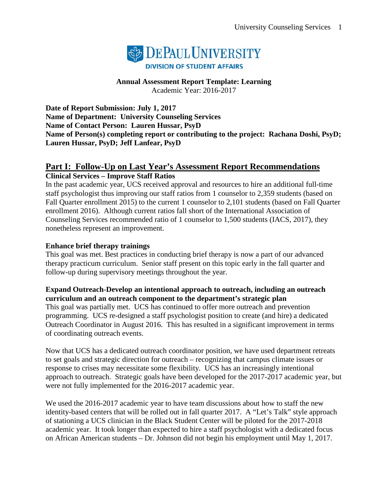

**Annual Assessment Report Template: Learning** Academic Year: 2016-2017

**Date of Report Submission: July 1, 2017 Name of Department: University Counseling Services Name of Contact Person: Lauren Hussar, PsyD Name of Person(s) completing report or contributing to the project: Rachana Doshi, PsyD; Lauren Hussar, PsyD; Jeff Lanfear, PsyD**

## **Part I: Follow-Up on Last Year's Assessment Report Recommendations Clinical Services – Improve Staff Ratios**

In the past academic year, UCS received approval and resources to hire an additional full-time staff psychologist thus improving our staff ratios from 1 counselor to 2,359 students (based on Fall Quarter enrollment 2015) to the current 1 counselor to 2,101 students (based on Fall Quarter enrollment 2016). Although current ratios fall short of the International Association of Counseling Services recommended ratio of 1 counselor to 1,500 students (IACS, 2017), they nonetheless represent an improvement.

### **Enhance brief therapy trainings**

This goal was met. Best practices in conducting brief therapy is now a part of our advanced therapy practicum curriculum. Senior staff present on this topic early in the fall quarter and follow-up during supervisory meetings throughout the year.

### **Expand Outreach-Develop an intentional approach to outreach, including an outreach curriculum and an outreach component to the department's strategic plan**

This goal was partially met. UCS has continued to offer more outreach and prevention programming. UCS re-designed a staff psychologist position to create (and hire) a dedicated Outreach Coordinator in August 2016. This has resulted in a significant improvement in terms of coordinating outreach events.

Now that UCS has a dedicated outreach coordinator position, we have used department retreats to set goals and strategic direction for outreach – recognizing that campus climate issues or response to crises may necessitate some flexibility. UCS has an increasingly intentional approach to outreach. Strategic goals have been developed for the 2017-2017 academic year, but were not fully implemented for the 2016-2017 academic year.

We used the 2016-2017 academic year to have team discussions about how to staff the new identity-based centers that will be rolled out in fall quarter 2017. A "Let's Talk" style approach of stationing a UCS clinician in the Black Student Center will be piloted for the 2017-2018 academic year. It took longer than expected to hire a staff psychologist with a dedicated focus on African American students – Dr. Johnson did not begin his employment until May 1, 2017.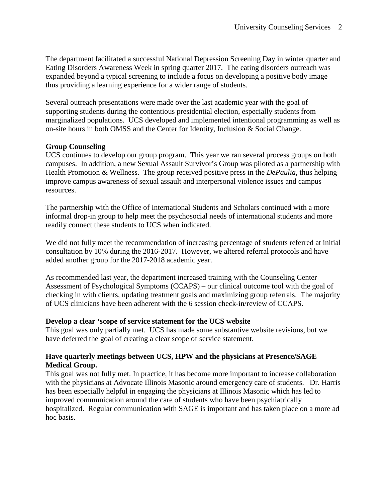The department facilitated a successful National Depression Screening Day in winter quarter and Eating Disorders Awareness Week in spring quarter 2017. The eating disorders outreach was expanded beyond a typical screening to include a focus on developing a positive body image thus providing a learning experience for a wider range of students.

Several outreach presentations were made over the last academic year with the goal of supporting students during the contentious presidential election, especially students from marginalized populations. UCS developed and implemented intentional programming as well as on-site hours in both OMSS and the Center for Identity, Inclusion & Social Change.

### **Group Counseling**

UCS continues to develop our group program. This year we ran several process groups on both campuses. In addition, a new Sexual Assault Survivor's Group was piloted as a partnership with Health Promotion & Wellness. The group received positive press in the *DePaulia*, thus helping improve campus awareness of sexual assault and interpersonal violence issues and campus resources.

The partnership with the Office of International Students and Scholars continued with a more informal drop-in group to help meet the psychosocial needs of international students and more readily connect these students to UCS when indicated.

We did not fully meet the recommendation of increasing percentage of students referred at initial consultation by 10% during the 2016-2017. However, we altered referral protocols and have added another group for the 2017-2018 academic year.

As recommended last year, the department increased training with the Counseling Center Assessment of Psychological Symptoms (CCAPS) – our clinical outcome tool with the goal of checking in with clients, updating treatment goals and maximizing group referrals. The majority of UCS clinicians have been adherent with the 6 session check-in/review of CCAPS.

### **Develop a clear 'scope of service statement for the UCS website**

This goal was only partially met. UCS has made some substantive website revisions, but we have deferred the goal of creating a clear scope of service statement.

### **Have quarterly meetings between UCS, HPW and the physicians at Presence/SAGE Medical Group.**

This goal was not fully met. In practice, it has become more important to increase collaboration with the physicians at Advocate Illinois Masonic around emergency care of students. Dr. Harris has been especially helpful in engaging the physicians at Illinois Masonic which has led to improved communication around the care of students who have been psychiatrically hospitalized. Regular communication with SAGE is important and has taken place on a more ad hoc basis.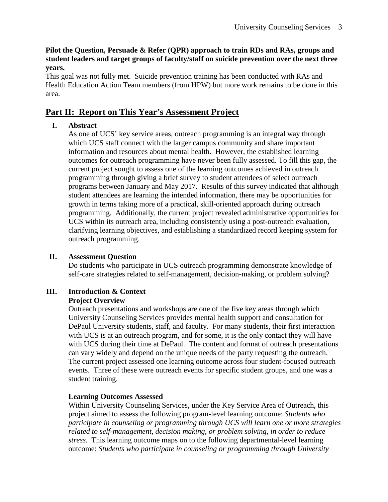### **Pilot the Question, Persuade & Refer (QPR) approach to train RDs and RAs, groups and student leaders and target groups of faculty/staff on suicide prevention over the next three years.**

This goal was not fully met. Suicide prevention training has been conducted with RAs and Health Education Action Team members (from HPW) but more work remains to be done in this area.

# **Part II: Report on This Year's Assessment Project**

# **I. Abstract**

As one of UCS' key service areas, outreach programming is an integral way through which UCS staff connect with the larger campus community and share important information and resources about mental health. However, the established learning outcomes for outreach programming have never been fully assessed. To fill this gap, the current project sought to assess one of the learning outcomes achieved in outreach programming through giving a brief survey to student attendees of select outreach programs between January and May 2017. Results of this survey indicated that although student attendees are learning the intended information, there may be opportunities for growth in terms taking more of a practical, skill-oriented approach during outreach programming. Additionally, the current project revealed administrative opportunities for UCS within its outreach area, including consistently using a post-outreach evaluation, clarifying learning objectives, and establishing a standardized record keeping system for outreach programming.

### **II. Assessment Question**

Do students who participate in UCS outreach programming demonstrate knowledge of self-care strategies related to self-management, decision-making, or problem solving?

#### **III. Introduction & Context Project Overview**

Outreach presentations and workshops are one of the five key areas through which University Counseling Services provides mental health support and consultation for DePaul University students, staff, and faculty. For many students, their first interaction with UCS is at an outreach program, and for some, it is the only contact they will have with UCS during their time at DePaul. The content and format of outreach presentations can vary widely and depend on the unique needs of the party requesting the outreach. The current project assessed one learning outcome across four student-focused outreach events. Three of these were outreach events for specific student groups, and one was a student training.

### **Learning Outcomes Assessed**

Within University Counseling Services, under the Key Service Area of Outreach, this project aimed to assess the following program-level learning outcome: *Students who participate in counseling or programming through UCS will learn one or more strategies related to self-management, decision making, or problem solving, in order to reduce stress.* This learning outcome maps on to the following departmental-level learning outcome: *Students who participate in counseling or programming through University*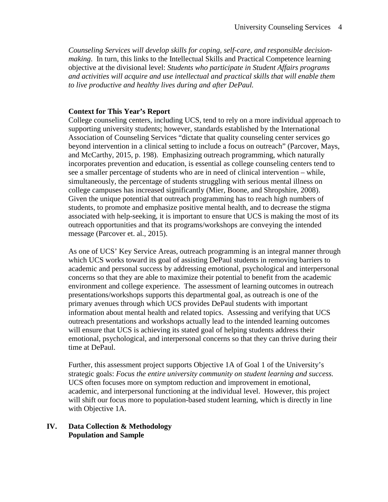*Counseling Services will develop skills for coping, self-care, and responsible decisionmaking*. In turn, this links to the Intellectual Skills and Practical Competence learning objective at the divisional level: *Students who participate in Student Affairs programs and activities will acquire and use intellectual and practical skills that will enable them to live productive and healthy lives during and after DePaul.* 

### **Context for This Year's Report**

College counseling centers, including UCS, tend to rely on a more individual approach to supporting university students; however, standards established by the International Association of Counseling Services "dictate that quality counseling center services go beyond intervention in a clinical setting to include a focus on outreach" (Parcover, Mays, and McCarthy, 2015, p. 198). Emphasizing outreach programming, which naturally incorporates prevention and education, is essential as college counseling centers tend to see a smaller percentage of students who are in need of clinical intervention – while, simultaneously, the percentage of students struggling with serious mental illness on college campuses has increased significantly (Mier, Boone, and Shropshire, 2008). Given the unique potential that outreach programming has to reach high numbers of students, to promote and emphasize positive mental health, and to decrease the stigma associated with help-seeking, it is important to ensure that UCS is making the most of its outreach opportunities and that its programs/workshops are conveying the intended message (Parcover et. al., 2015).

As one of UCS' Key Service Areas, outreach programming is an integral manner through which UCS works toward its goal of assisting DePaul students in removing barriers to academic and personal success by addressing emotional, psychological and interpersonal concerns so that they are able to maximize their potential to benefit from the academic environment and college experience. The assessment of learning outcomes in outreach presentations/workshops supports this departmental goal, as outreach is one of the primary avenues through which UCS provides DePaul students with important information about mental health and related topics. Assessing and verifying that UCS outreach presentations and workshops actually lead to the intended learning outcomes will ensure that UCS is achieving its stated goal of helping students address their emotional, psychological, and interpersonal concerns so that they can thrive during their time at DePaul.

Further, this assessment project supports Objective 1A of Goal 1 of the University's strategic goals: *Focus the entire university community on student learning and success.* UCS often focuses more on symptom reduction and improvement in emotional, academic, and interpersonal functioning at the individual level. However, this project will shift our focus more to population-based student learning, which is directly in line with Objective 1A.

#### **IV. Data Collection & Methodology Population and Sample**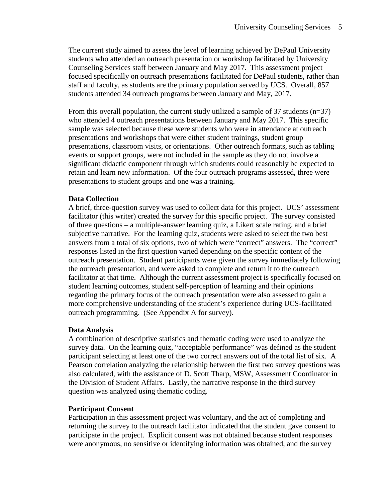The current study aimed to assess the level of learning achieved by DePaul University students who attended an outreach presentation or workshop facilitated by University Counseling Services staff between January and May 2017. This assessment project focused specifically on outreach presentations facilitated for DePaul students, rather than staff and faculty, as students are the primary population served by UCS. Overall, 857 students attended 34 outreach programs between January and May, 2017.

From this overall population, the current study utilized a sample of 37 students  $(n=37)$ who attended 4 outreach presentations between January and May 2017. This specific sample was selected because these were students who were in attendance at outreach presentations and workshops that were either student trainings, student group presentations, classroom visits, or orientations. Other outreach formats, such as tabling events or support groups, were not included in the sample as they do not involve a significant didactic component through which students could reasonably be expected to retain and learn new information. Of the four outreach programs assessed, three were presentations to student groups and one was a training.

### **Data Collection**

A brief, three-question survey was used to collect data for this project. UCS' assessment facilitator (this writer) created the survey for this specific project. The survey consisted of three questions – a multiple-answer learning quiz, a Likert scale rating, and a brief subjective narrative. For the learning quiz, students were asked to select the two best answers from a total of six options, two of which were "correct" answers. The "correct" responses listed in the first question varied depending on the specific content of the outreach presentation. Student participants were given the survey immediately following the outreach presentation, and were asked to complete and return it to the outreach facilitator at that time.Although the current assessment project is specifically focused on student learning outcomes, student self-perception of learning and their opinions regarding the primary focus of the outreach presentation were also assessed to gain a more comprehensive understanding of the student's experience during UCS-facilitated outreach programming. (See Appendix A for survey).

### **Data Analysis**

A combination of descriptive statistics and thematic coding were used to analyze the survey data. On the learning quiz, "acceptable performance" was defined as the student participant selecting at least one of the two correct answers out of the total list of six. A Pearson correlation analyzing the relationship between the first two survey questions was also calculated, with the assistance of D. Scott Tharp, MSW, Assessment Coordinator in the Division of Student Affairs. Lastly, the narrative response in the third survey question was analyzed using thematic coding.

### **Participant Consent**

Participation in this assessment project was voluntary, and the act of completing and returning the survey to the outreach facilitator indicated that the student gave consent to participate in the project. Explicit consent was not obtained because student responses were anonymous, no sensitive or identifying information was obtained, and the survey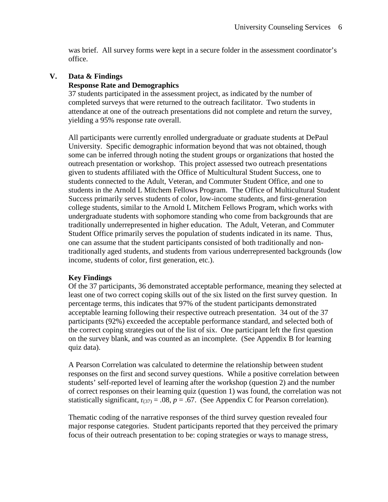was brief. All survey forms were kept in a secure folder in the assessment coordinator's office.

### **V. Data & Findings**

### **Response Rate and Demographics**

37 students participated in the assessment project, as indicated by the number of completed surveys that were returned to the outreach facilitator. Two students in attendance at one of the outreach presentations did not complete and return the survey, yielding a 95% response rate overall.

All participants were currently enrolled undergraduate or graduate students at DePaul University. Specific demographic information beyond that was not obtained, though some can be inferred through noting the student groups or organizations that hosted the outreach presentation or workshop. This project assessed two outreach presentations given to students affiliated with the Office of Multicultural Student Success, one to students connected to the Adult, Veteran, and Commuter Student Office, and one to students in the Arnold L Mitchem Fellows Program. The Office of Multicultural Student Success primarily serves students of color, low-income students, and first-generation college students, similar to the Arnold L Mitchem Fellows Program, which works with undergraduate students with sophomore standing who come from backgrounds that are traditionally underrepresented in higher education. The Adult, Veteran, and Commuter Student Office primarily serves the population of students indicated in its name. Thus, one can assume that the student participants consisted of both traditionally and nontraditionally aged students, and students from various underrepresented backgrounds (low income, students of color, first generation, etc.).

### **Key Findings**

Of the 37 participants, 36 demonstrated acceptable performance, meaning they selected at least one of two correct coping skills out of the six listed on the first survey question. In percentage terms, this indicates that 97% of the student participants demonstrated acceptable learning following their respective outreach presentation. 34 out of the 37 participants (92%) exceeded the acceptable performance standard, and selected both of the correct coping strategies out of the list of six. One participant left the first question on the survey blank, and was counted as an incomplete. (See Appendix B for learning quiz data).

A Pearson Correlation was calculated to determine the relationship between student responses on the first and second survey questions. While a positive correlation between students' self-reported level of learning after the workshop (question 2) and the number of correct responses on their learning quiz (question 1) was found, the correlation was not statistically significant,  $r_{(37)} = .08$ ,  $p = .67$ . (See Appendix C for Pearson correlation).

Thematic coding of the narrative responses of the third survey question revealed four major response categories. Student participants reported that they perceived the primary focus of their outreach presentation to be: coping strategies or ways to manage stress,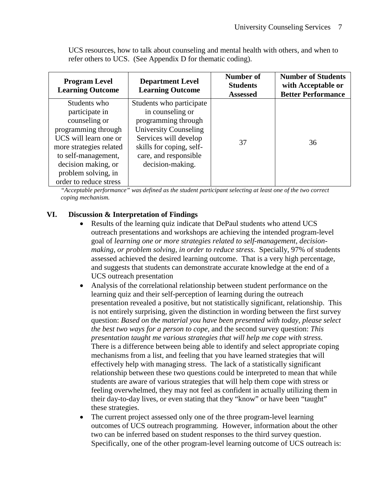| <b>Program Level</b><br><b>Learning Outcome</b> | <b>Department Level</b><br><b>Learning Outcome</b> | Number of<br><b>Students</b><br><b>Assessed</b> | <b>Number of Students</b><br>with Acceptable or<br><b>Better Performance</b> |
|-------------------------------------------------|----------------------------------------------------|-------------------------------------------------|------------------------------------------------------------------------------|
| Students who                                    | Students who participate                           |                                                 |                                                                              |
| participate in                                  | in counseling or                                   |                                                 |                                                                              |
| counseling or                                   | programming through                                |                                                 |                                                                              |
| programming through                             | University Counseling                              |                                                 |                                                                              |
| UCS will learn one or                           | Services will develop                              | 37                                              | 36                                                                           |
| more strategies related                         | skills for coping, self-                           |                                                 |                                                                              |
| to self-management,                             | care, and responsible                              |                                                 |                                                                              |
| decision making, or                             | decision-making.                                   |                                                 |                                                                              |
| problem solving, in                             |                                                    |                                                 |                                                                              |
| order to reduce stress                          |                                                    |                                                 |                                                                              |

UCS resources, how to talk about counseling and mental health with others, and when to refer others to UCS. (See Appendix D for thematic coding).

*"Acceptable performance" was defined as the student participant selecting at least one of the two correct coping mechanism.* 

# **VI. Discussion & Interpretation of Findings**

- Results of the learning quiz indicate that DePaul students who attend UCS outreach presentations and workshops are achieving the intended program-level goal of *learning one or more strategies related to self-management, decisionmaking, or problem solving, in order to reduce stress*. Specially, 97% of students assessed achieved the desired learning outcome. That is a very high percentage, and suggests that students can demonstrate accurate knowledge at the end of a UCS outreach presentation
- Analysis of the correlational relationship between student performance on the learning quiz and their self-perception of learning during the outreach presentation revealed a positive, but not statistically significant, relationship. This is not entirely surprising, given the distinction in wording between the first survey question: *Based on the material you have been presented with today, please select the best two ways for a person to cope,* and the second survey question: *This presentation taught me various strategies that will help me cope with stress.* There is a difference between being able to identify and select appropriate coping mechanisms from a list, and feeling that you have learned strategies that will effectively help with managing stress. The lack of a statistically significant relationship between these two questions could be interpreted to mean that while students are aware of various strategies that will help them cope with stress or feeling overwhelmed, they may not feel as confident in actually utilizing them in their day-to-day lives, or even stating that they "know" or have been "taught" these strategies.
- The current project assessed only one of the three program-level learning outcomes of UCS outreach programming. However, information about the other two can be inferred based on student responses to the third survey question. Specifically, one of the other program-level learning outcome of UCS outreach is: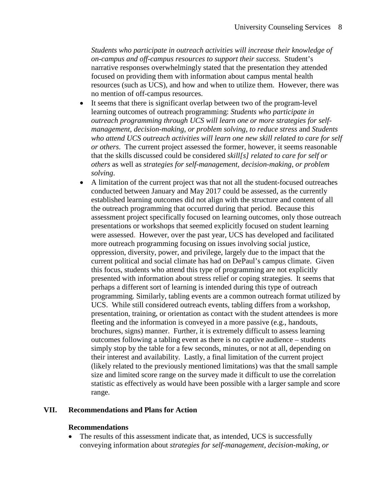*Students who participate in outreach activities will increase their knowledge of on-campus and off-campus resources to support their success.* Student's narrative responses overwhelmingly stated that the presentation they attended focused on providing them with information about campus mental health resources (such as UCS), and how and when to utilize them. However, there was no mention of off-campus resources.

- It seems that there is significant overlap between two of the program-level learning outcomes of outreach programming: *Students who participate in outreach programming through UCS will learn one or more strategies for selfmanagement, decision-making, or problem solving, to reduce stress* and *Students who attend UCS outreach activities will learn one new skill related to care for self or others*. The current project assessed the former, however, it seems reasonable that the skills discussed could be considered *skill[s] related to care for self or others* as well as *strategies for self-management, decision-making, or problem solving*.
- A limitation of the current project was that not all the student-focused outreaches conducted between January and May 2017 could be assessed, as the currently established learning outcomes did not align with the structure and content of all the outreach programming that occurred during that period. Because this assessment project specifically focused on learning outcomes, only those outreach presentations or workshops that seemed explicitly focused on student learning were assessed. However, over the past year, UCS has developed and facilitated more outreach programming focusing on issues involving social justice, oppression, diversity, power, and privilege, largely due to the impact that the current political and social climate has had on DePaul's campus climate.Given this focus, students who attend this type of programming are not explicitly presented with information about stress relief or coping strategies. It seems that perhaps a different sort of learning is intended during this type of outreach programming. Similarly, tabling events are a common outreach format utilized by UCS. While still considered outreach events, tabling differs from a workshop, presentation, training, or orientation as contact with the student attendees is more fleeting and the information is conveyed in a more passive (e.g., handouts, brochures, signs) manner. Further, it is extremely difficult to assess learning outcomes following a tabling event as there is no captive audience – students simply stop by the table for a few seconds, minutes, or not at all, depending on their interest and availability. Lastly, a final limitation of the current project (likely related to the previously mentioned limitations) was that the small sample size and limited score range on the survey made it difficult to use the correlation statistic as effectively as would have been possible with a larger sample and score range.

#### **VII. Recommendations and Plans for Action**

#### **Recommendations**

• The results of this assessment indicate that, as intended, UCS is successfully conveying information about *strategies for self-management, decision-making, or*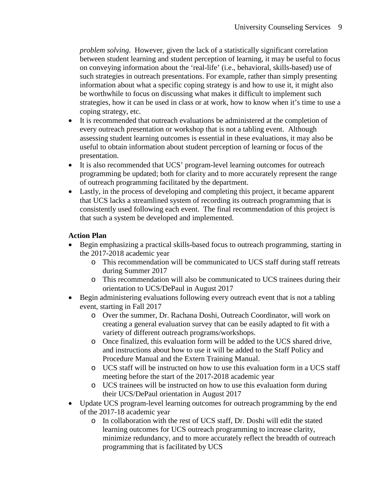*problem solving*. However, given the lack of a statistically significant correlation between student learning and student perception of learning, it may be useful to focus on conveying information about the 'real-life' (i.e., behavioral, skills-based) use of such strategies in outreach presentations. For example, rather than simply presenting information about what a specific coping strategy is and how to use it, it might also be worthwhile to focus on discussing what makes it difficult to implement such strategies, how it can be used in class or at work, how to know when it's time to use a coping strategy, etc.

- It is recommended that outreach evaluations be administered at the completion of every outreach presentation or workshop that is not a tabling event. Although assessing student learning outcomes is essential in these evaluations, it may also be useful to obtain information about student perception of learning or focus of the presentation.
- It is also recommended that UCS' program-level learning outcomes for outreach programming be updated; both for clarity and to more accurately represent the range of outreach programming facilitated by the department.
- Lastly, in the process of developing and completing this project, it became apparent that UCS lacks a streamlined system of recording its outreach programming that is consistently used following each event. The final recommendation of this project is that such a system be developed and implemented.

# **Action Plan**

- Begin emphasizing a practical skills-based focus to outreach programming, starting in the 2017-2018 academic year
	- o This recommendation will be communicated to UCS staff during staff retreats during Summer 2017
	- o This recommendation will also be communicated to UCS trainees during their orientation to UCS/DePaul in August 2017
- Begin administering evaluations following every outreach event that is not a tabling event, starting in Fall 2017
	- o Over the summer, Dr. Rachana Doshi, Outreach Coordinator, will work on creating a general evaluation survey that can be easily adapted to fit with a variety of different outreach programs/workshops.
	- o Once finalized, this evaluation form will be added to the UCS shared drive, and instructions about how to use it will be added to the Staff Policy and Procedure Manual and the Extern Training Manual.
	- o UCS staff will be instructed on how to use this evaluation form in a UCS staff meeting before the start of the 2017-2018 academic year
	- o UCS trainees will be instructed on how to use this evaluation form during their UCS/DePaul orientation in August 2017
- Update UCS program-level learning outcomes for outreach programming by the end of the 2017-18 academic year
	- o In collaboration with the rest of UCS staff, Dr. Doshi will edit the stated learning outcomes for UCS outreach programming to increase clarity, minimize redundancy, and to more accurately reflect the breadth of outreach programming that is facilitated by UCS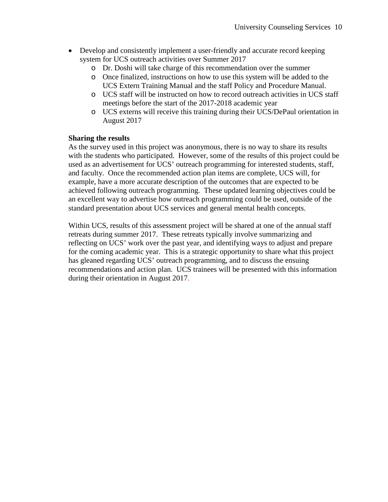- Develop and consistently implement a user-friendly and accurate record keeping system for UCS outreach activities over Summer 2017
	- o Dr. Doshi will take charge of this recommendation over the summer
	- o Once finalized, instructions on how to use this system will be added to the UCS Extern Training Manual and the staff Policy and Procedure Manual.
	- o UCS staff will be instructed on how to record outreach activities in UCS staff meetings before the start of the 2017-2018 academic year
	- o UCS externs will receive this training during their UCS/DePaul orientation in August 2017

### **Sharing the results**

As the survey used in this project was anonymous, there is no way to share its results with the students who participated. However, some of the results of this project could be used as an advertisement for UCS' outreach programming for interested students, staff, and faculty. Once the recommended action plan items are complete, UCS will, for example, have a more accurate description of the outcomes that are expected to be achieved following outreach programming. These updated learning objectives could be an excellent way to advertise how outreach programming could be used, outside of the standard presentation about UCS services and general mental health concepts.

Within UCS, results of this assessment project will be shared at one of the annual staff retreats during summer 2017. These retreats typically involve summarizing and reflecting on UCS' work over the past year, and identifying ways to adjust and prepare for the coming academic year. This is a strategic opportunity to share what this project has gleaned regarding UCS' outreach programming, and to discuss the ensuing recommendations and action plan. UCS trainees will be presented with this information during their orientation in August 2017.